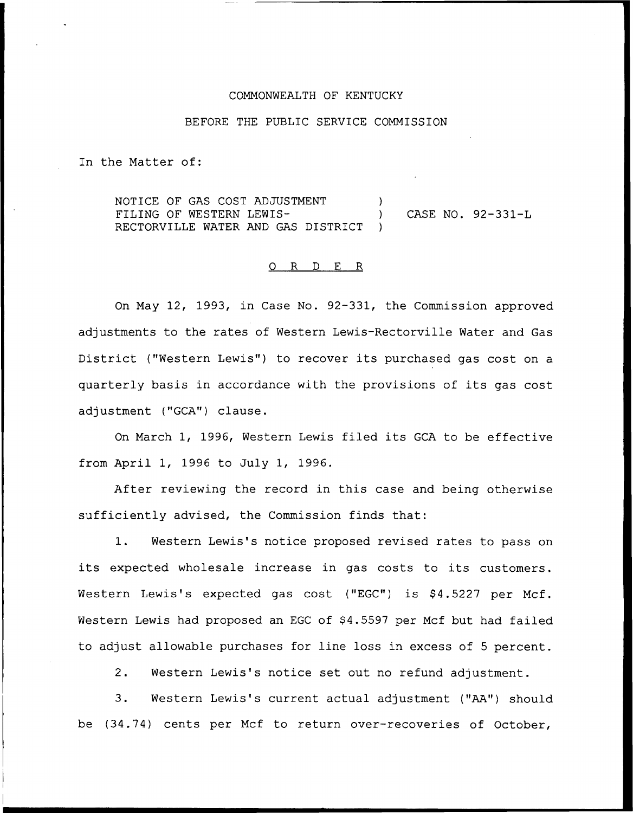#### COMMONWEALTH OF KENTUCKY

### BEFORE THE PUBLIC SERVICE COMMISSION

In the Matter of:

NOTICE OF GAS COST ADJUSTMENT FILING OF WESTERN LEWIS-RECTORVILLE WATER AND GAS DISTRICT ) ) CASE NO. 92-331-L )

#### 0 R <sup>D</sup> E R

On May 12, 1993, in Case No. 92-331, the Commission approved adjustments to the rates of Western Lewis-Rectorville Water and Gas District ("Western Lewis") to recover its purchased gas cost on a quarterly basis in accordance with the provisions of its gas cost adjustment ("GCA") clause.

On March 1, 1996, Western Lewis filed its GCA to be effective from April 1, 1996 to July 1, 1996.

After reviewing the record in this case and being otherwise sufficiently advised, the Commission finds that:

1. Western Lewis's notice proposed revised rates to pass on its expected wholesale increase in gas costs to its customers. Western Lewis's expected gas cost ("EGC") is \$4.5227 per Mcf. Western Lewis had proposed an EGC of \$4.5597 per Mcf but had failed to adjust allowable purchases for line loss in excess of 5 percent.

2. Western Lewis's notice set out no refund adjustment.

3. Western Lewis's current actual adjustment ("AA") should be (34.74) cents per Mcf to return over-recoveries of October,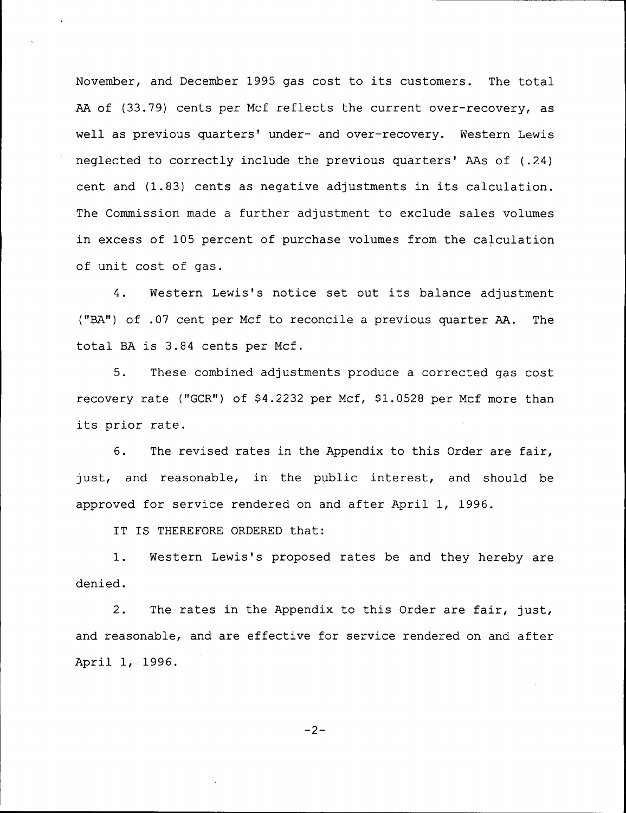November, and December 1995 gas cost to its customers. The total AA of (33.79) cents per Ncf reflects the current over-recovery, as well as previous quarters' under- and over-recovery. Western Lewis neglected to correctly include the previous quarters' AAs of (.24) cent and (1.83) cents as negative adjustments in its calculation. The Commission made a further adjustment to exclude sales volumes in excess of 105 percent of purchase volumes from the calculation of unit cost of gas.

4. Western Lewis's notice set out its balance adjustment ("BA") of .07 cent per Ncf to reconcile a previous quarter AA. The total BA is 3.84 cents per Ncf.

5. These combined adjustments produce a corrected gas cost recovery rate ("GCR") of \$4.2232 per Mcf, \$1.0528 per Mcf more than its prior rate.

6. The revised rates in the Appendix to this Order are fair, just, and reasonable, in the public interest, and should be approved for service rendered on and after April 1, 1996.

IT IS THEREFORE ORDERED that:

1. Western Lewis's proposed rates be and they hereby are denied.

2. The rates in the Appendix to this Order are fair, just, and reasonable, and are effective for service rendered on and after April 1, 1996.

 $-2-$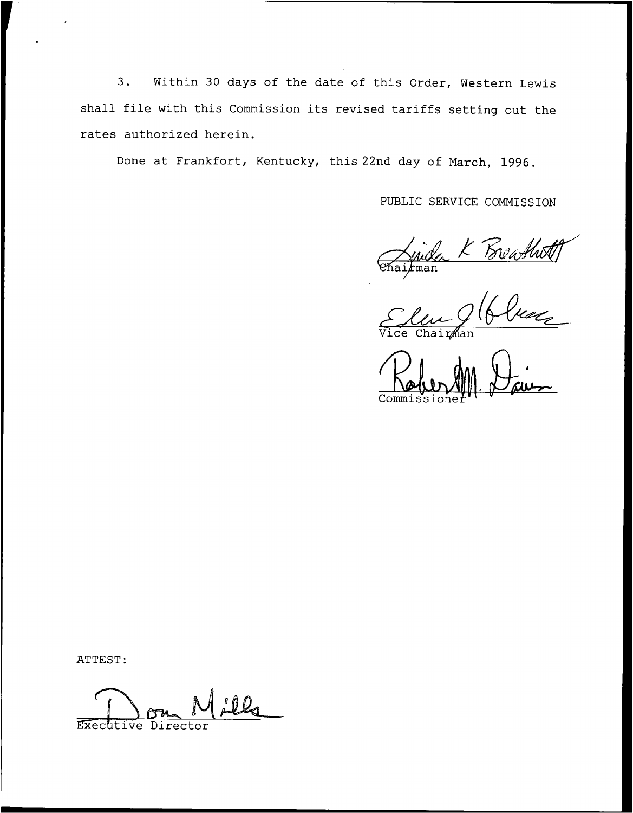$3.$ Within 30 days of the date of this Order, Western Lewis shall file with this Commission its revised tariffs setting out the rates authorized herein.

Done at Frankfort, Kentucky, this 22nd day of March, 1996.

PUBLIC SERVICE COMMISSION

Chairman K Boathett

ATTEST:

Executive Director